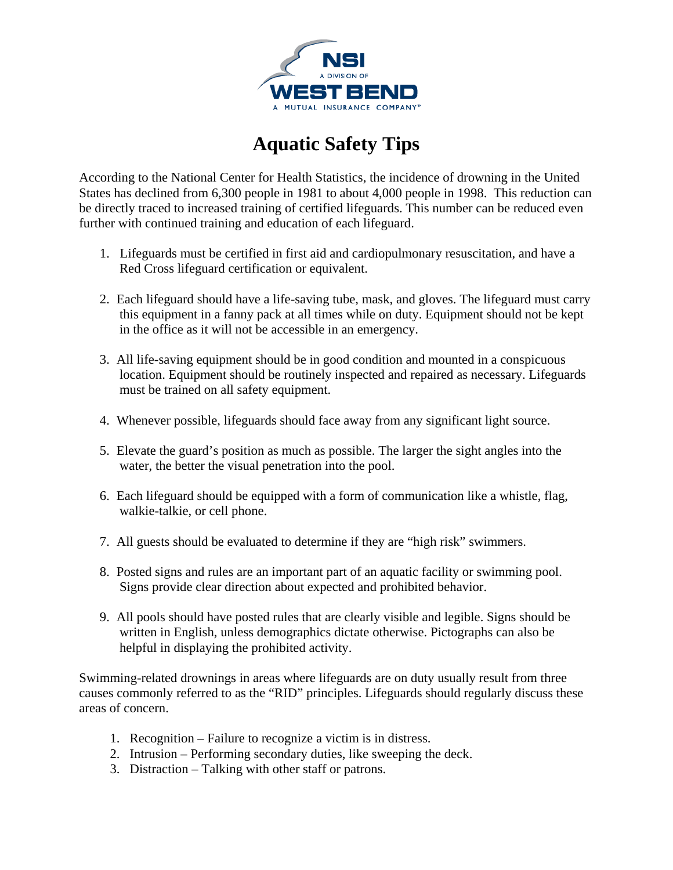

## **Aquatic Safety Tips**

According to the National Center for Health Statistics, the incidence of drowning in the United States has declined from 6,300 people in 1981 to about 4,000 people in 1998. This reduction can be directly traced to increased training of certified lifeguards. This number can be reduced even further with continued training and education of each lifeguard.

- 1. Lifeguards must be certified in first aid and cardiopulmonary resuscitation, and have a Red Cross lifeguard certification or equivalent.
- 2. Each lifeguard should have a life-saving tube, mask, and gloves. The lifeguard must carry this equipment in a fanny pack at all times while on duty. Equipment should not be kept in the office as it will not be accessible in an emergency.
- 3. All life-saving equipment should be in good condition and mounted in a conspicuous location. Equipment should be routinely inspected and repaired as necessary. Lifeguards must be trained on all safety equipment.
- 4. Whenever possible, lifeguards should face away from any significant light source.
- 5. Elevate the guard's position as much as possible. The larger the sight angles into the water, the better the visual penetration into the pool.
- 6. Each lifeguard should be equipped with a form of communication like a whistle, flag, walkie-talkie, or cell phone.
- 7. All guests should be evaluated to determine if they are "high risk" swimmers.
- 8. Posted signs and rules are an important part of an aquatic facility or swimming pool. Signs provide clear direction about expected and prohibited behavior.
- 9. All pools should have posted rules that are clearly visible and legible. Signs should be written in English, unless demographics dictate otherwise. Pictographs can also be helpful in displaying the prohibited activity.

Swimming-related drownings in areas where lifeguards are on duty usually result from three causes commonly referred to as the "RID" principles. Lifeguards should regularly discuss these areas of concern.

- 1. Recognition Failure to recognize a victim is in distress.
- 2. Intrusion Performing secondary duties, like sweeping the deck.
- 3. Distraction Talking with other staff or patrons.